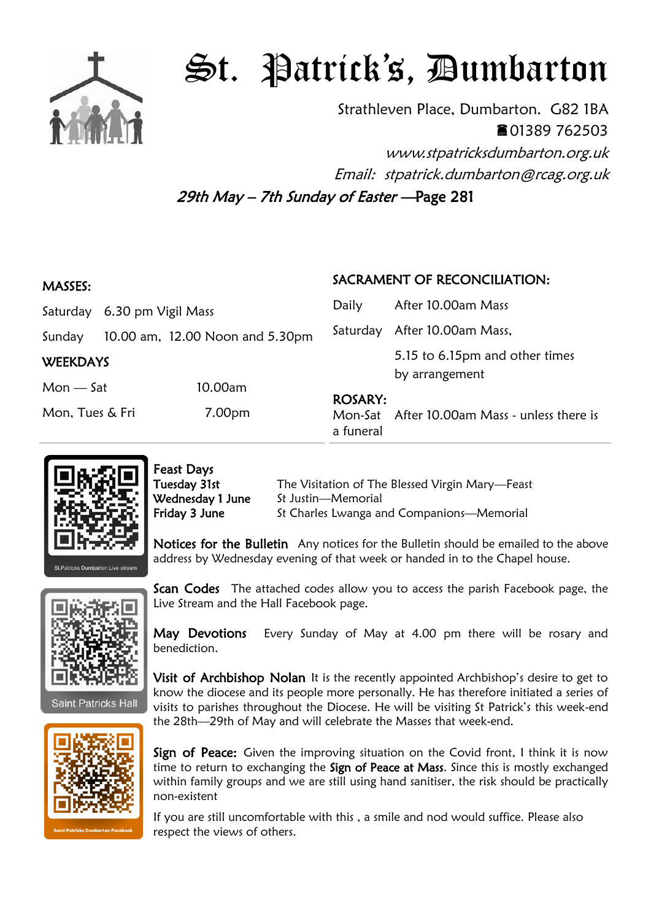

## St. Patrick's, Dumbarton

Strathleven Place, Dumbarton. G82 1BA 01389 762503 www.stpatricksdumbarton.org.uk

Email: stpatrick.dumbarton@rcag.org.uk

29th May – 7th Sunday of Easter —Page 281

| <b>MASSES:</b>  |                    |                                 | SACRAMENT OF RECONCILIATION: |                                                  |
|-----------------|--------------------|---------------------------------|------------------------------|--------------------------------------------------|
| Saturday        | 6.30 pm Vigil Mass |                                 | Daily                        | After 10.00am Mass                               |
| Sunday          |                    | 10.00 am, 12.00 Noon and 5.30pm |                              | Saturday After 10.00am Mass,                     |
| <b>WEEKDAYS</b> |                    |                                 |                              | 5.15 to 6.15pm and other times<br>by arrangement |
| $Mon - Sat$     |                    | 10.00am                         | <b>ROSARY:</b>               |                                                  |
| Mon, Tues & Fri |                    | 7.00pm                          | a funeral                    | Mon-Sat After 10.00am Mass - unless there is     |



Feast Days

Live Stream and the Hall Facebook page.

Tuesday 31st The Visitation of The Blessed Virgin Mary-Feast Wednesday 1 June St Justin-Memorial Friday 3 June St Charles Lwanga and Companions—Memorial

Notices for the Bulletin Any notices for the Bulletin should be emailed to the above address by Wednesday evening of that week or handed in to the Chapel house.

Scan Codes The attached codes allow you to access the parish Facebook page, the



**Saint Patricks Hall** 



benediction. Visit of Archbishop Nolan It is the recently appointed Archbishop's desire to get to

May Devotions Every Sunday of May at 4.00 pm there will be rosary and

know the diocese and its people more personally. He has therefore initiated a series of visits to parishes throughout the Diocese. He will be visiting St Patrick's this week-end the 28th—29th of May and will celebrate the Masses that week-end.

Sign of Peace: Given the improving situation on the Covid front, I think it is now time to return to exchanging the Sign of Peace at Mass. Since this is mostly exchanged within family groups and we are still using hand sanitiser, the risk should be practically non-existent

If you are still uncomfortable with this , a smile and nod would suffice. Please also respect the views of others.